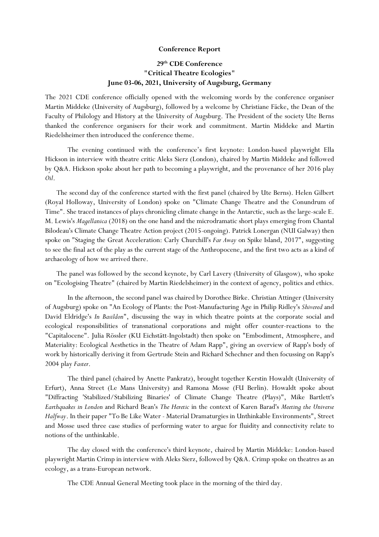## **Conference Report**

## **29th CDE Conference "Critical Theatre Ecologies" June 03-06, 2021, University of Augsburg, Germany**

The 2021 CDE conference officially opened with the welcoming words by the conference organiser Martin Middeke (University of Augsburg), followed by a welcome by Christiane Fäcke, the Dean of the Faculty of Philology and History at the University of Augsburg. The President of the society Ute Berns thanked the conference organisers for their work and commitment. Martin Middeke and Martin Riedelsheimer then introduced the conference theme.

The evening continued with the conference's first keynote: London-based playwright Ella Hickson in interview with theatre critic Aleks Sierz (London), chaired by Martin Middeke and followed by Q&A. Hickson spoke about her path to becoming a playwright, and the provenance of her 2016 play *Oil*.

The second day of the conference started with the first panel (chaired by Ute Berns). Helen Gilbert (Royal Holloway, University of London) spoke on "Climate Change Theatre and the Conundrum of Time". She traced instances of plays chronicling climate change in the Antarctic, such as the large-scale E. M. Lewis's *Magellanica* (2018) on the one hand and the microdramatic short plays emerging from Chantal Bilodeau's Climate Change Theatre Action project (2015-ongoing). Patrick Lonergan (NUI Galway) then spoke on "Staging the Great Acceleration: Carly Churchill's *Far Away* on Spike Island, 2017", suggesting to see the final act of the play as the current stage of the Anthropocene, and the first two acts as a kind of archaeology of how we arrived there.

The panel was followed by the second keynote, by Carl Lavery (University of Glasgow), who spoke on "Ecologising Theatre" (chaired by Martin Riedelsheimer) in the context of agency, politics and ethics.

 In the afternoon, the second panel was chaired by Dorothee Birke. Christian Attinger (University of Augsburg) spoke on "An Ecology of Plants: the Post-Manufacturing Age in Philip Ridley's *Shivered* and David Eldridge's *In Basildon*", discussing the way in which theatre points at the corporate social and ecological responsibilities of transnational corporations and might offer counter-reactions to the "Capitalocene". Julia Rössler (KU Eichstätt-Ingolstadt) then spoke on "Embodiment, Atmosphere, and Materiality: Ecological Aesthetics in the Theatre of Adam Rapp", giving an overview of Rapp's body of work by historically deriving it from Gertrude Stein and Richard Schechner and then focussing on Rapp's 2004 play *Faster*.

The third panel (chaired by Anette Pankratz), brought together Kerstin Howaldt (University of Erfurt), Anna Street (Le Mans University) and Ramona Mosse (FU Berlin). Howaldt spoke about "Diffracting 'Stabilized/Stabilizing Binaries' of Climate Change Theatre (Plays)", Mike Bartlett's *Earthquakes in London* and Richard Bean's *The Heretic* in the context of Karen Barad's *Meeting the Universe Halfway*. In their paper "To Be Like Water - Material Dramaturgies in Unthinkable Environments", Street and Mosse used three case studies of performing water to argue for fluidity and connectivity relate to notions of the unthinkable.

The day closed with the conference's third keynote, chaired by Martin Middeke: London-based playwright Martin Crimp in interview with Aleks Sierz, followed by Q&A. Crimp spoke on theatres as an ecology, as a trans-European network.

The CDE Annual General Meeting took place in the morning of the third day.